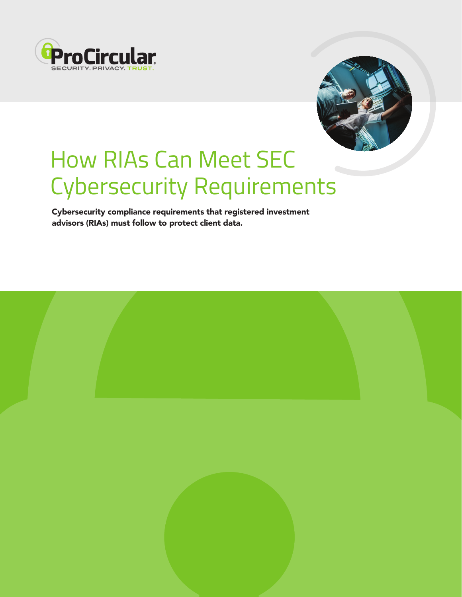



# How RIAs Can Meet SEC Cybersecurity Requirements

Cybersecurity compliance requirements that registered investment advisors (RIAs) must follow to protect client data.

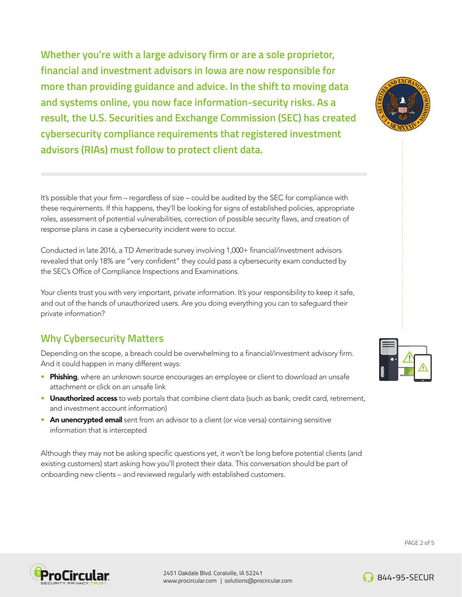**Whether you're with a large advisory firm or are a sole proprietor, financial and investment advisors in Iowa are now responsible for more than providing guidance and advice. In the shift to moving data and systems online, you now face information-security risks. As a result, the U.S. Securities and Exchange Commission (SEC) has created cybersecurity compliance requirements that registered investment advisors (RIAs) must follow to protect client data.** 

It's possible that your firm – regardless of size – could be audited by the SEC for compliance with these requirements. If this happens, they'll be looking for signs of established policies, appropriate roles, assessment of potential vulnerabilities, correction of possible security flaws, and creation of response plans in case a cybersecurity incident were to occur.

Conducted in late 2016, a TD Ameritrade survey involving 1,000+ financial/investment advisors revealed that only 18% are "very confident" they could pass a cybersecurity exam conducted by the SEC's Office of Compliance Inspections and Examinations.

Your clients trust you with very important, private information. It's your responsibility to keep it safe, and out of the hands of unauthorized users. Are you doing everything you can to safeguard their private information?

## **Why Cybersecurity Matters**

Depending on the scope, a breach could be overwhelming to a financial/investment advisory firm. And it could happen in many different ways:

- Phishing, where an unknown source encourages an employee or client to download an unsafe attachment or click on an unsafe link
- Unauthorized access to web portals that combine client data (such as bank, credit card, retirement, and investment account information)
- An unencrypted email sent from an advisor to a client (or vice versa) containing sensitive information that is intercepted

Although they may not be asking specific questions yet, it won't be long before potential clients (and existing customers) start asking how you'll protect their data. This conversation should be part of onboarding new clients – and reviewed regularly with established customers.







PAGE 2 of 5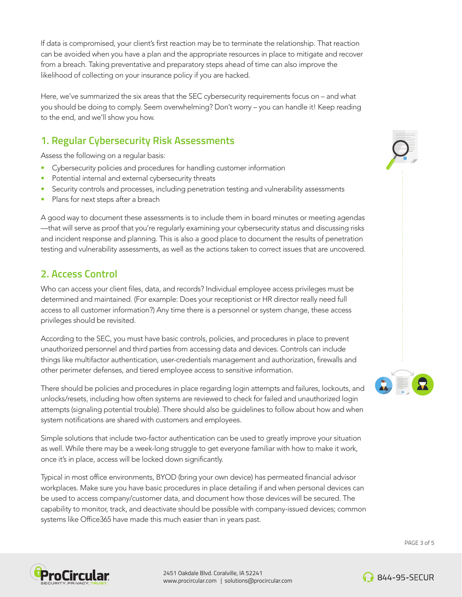If data is compromised, your client's first reaction may be to terminate the relationship. That reaction can be avoided when you have a plan and the appropriate resources in place to mitigate and recover from a breach. Taking preventative and preparatory steps ahead of time can also improve the likelihood of collecting on your insurance policy if you are hacked.

Here, we've summarized the six areas that the SEC cybersecurity requirements focus on – and what you should be doing to comply. Seem overwhelming? Don't worry – you can handle it! Keep reading to the end, and we'll show you how.

# **1. Regular Cybersecurity Risk Assessments**

Assess the following on a regular basis:

- Cybersecurity policies and procedures for handling customer information
- Potential internal and external cybersecurity threats
- Security controls and processes, including penetration testing and vulnerability assessments
- Plans for next steps after a breach

A good way to document these assessments is to include them in board minutes or meeting agendas —that will serve as proof that you're regularly examining your cybersecurity status and discussing risks and incident response and planning. This is also a good place to document the results of penetration testing and vulnerability assessments, as well as the actions taken to correct issues that are uncovered.

## **2. Access Control**

Who can access your client files, data, and records? Individual employee access privileges must be determined and maintained. (For example: Does your receptionist or HR director really need full access to all customer information?) Any time there is a personnel or system change, these access privileges should be revisited.

According to the SEC, you must have basic controls, policies, and procedures in place to prevent unauthorized personnel and third parties from accessing data and devices. Controls can include things like multifactor authentication, user-credentials management and authorization, firewalls and other perimeter defenses, and tiered employee access to sensitive information.

There should be policies and procedures in place regarding login attempts and failures, lockouts, and unlocks/resets, including how often systems are reviewed to check for failed and unauthorized login attempts (signaling potential trouble). There should also be guidelines to follow about how and when system notifications are shared with customers and employees.

Simple solutions that include two-factor authentication can be used to greatly improve your situation as well. While there may be a week-long struggle to get everyone familiar with how to make it work, once it's in place, access will be locked down significantly.

Typical in most office environments, BYOD (bring your own device) has permeated financial advisor workplaces. Make sure you have basic procedures in place detailing if and when personal devices can be used to access company/customer data, and document how those devices will be secured. The capability to monitor, track, and deactivate should be possible with company-issued devices; common systems like Office365 have made this much easier than in years past.







PAGE 3 of 5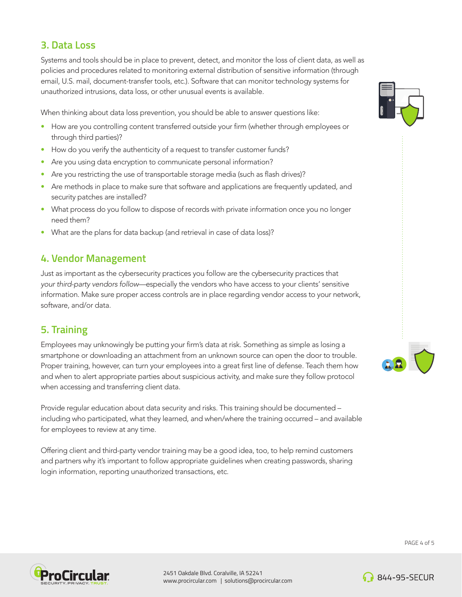#### **3. Data Loss**

Systems and tools should be in place to prevent, detect, and monitor the loss of client data, as well as policies and procedures related to monitoring external distribution of sensitive information (through email, U.S. mail, document-transfer tools, etc.). Software that can monitor technology systems for unauthorized intrusions, data loss, or other unusual events is available.

When thinking about data loss prevention, you should be able to answer questions like:

- How are you controlling content transferred outside your firm (whether through employees or through third parties)?
- How do you verify the authenticity of a request to transfer customer funds?
- Are you using data encryption to communicate personal information?
- Are you restricting the use of transportable storage media (such as flash drives)?
- Are methods in place to make sure that software and applications are frequently updated, and security patches are installed?
- What process do you follow to dispose of records with private information once you no longer need them?
- What are the plans for data backup (and retrieval in case of data loss)?

## **4. Vendor Management**

Just as important as the cybersecurity practices you follow are the cybersecurity practices that *your third-party vendors follow*—especially the vendors who have access to your clients' sensitive information. Make sure proper access controls are in place regarding vendor access to your network, software, and/or data.

#### **5. Training**

Employees may unknowingly be putting your firm's data at risk. Something as simple as losing a smartphone or downloading an attachment from an unknown source can open the door to trouble. Proper training, however, can turn your employees into a great first line of defense. Teach them how and when to alert appropriate parties about suspicious activity, and make sure they follow protocol when accessing and transferring client data.

Provide regular education about data security and risks. This training should be documented – including who participated, what they learned, and when/where the training occurred – and available for employees to review at any time.

Offering client and third-party vendor training may be a good idea, too, to help remind customers and partners why it's important to follow appropriate guidelines when creating passwords, sharing login information, reporting unauthorized transactions, etc.







2451 Oakdale Blvd. Coralville, IA 52241 www.procircular.com | solutions@procircular.com



**844-95-SECUR**